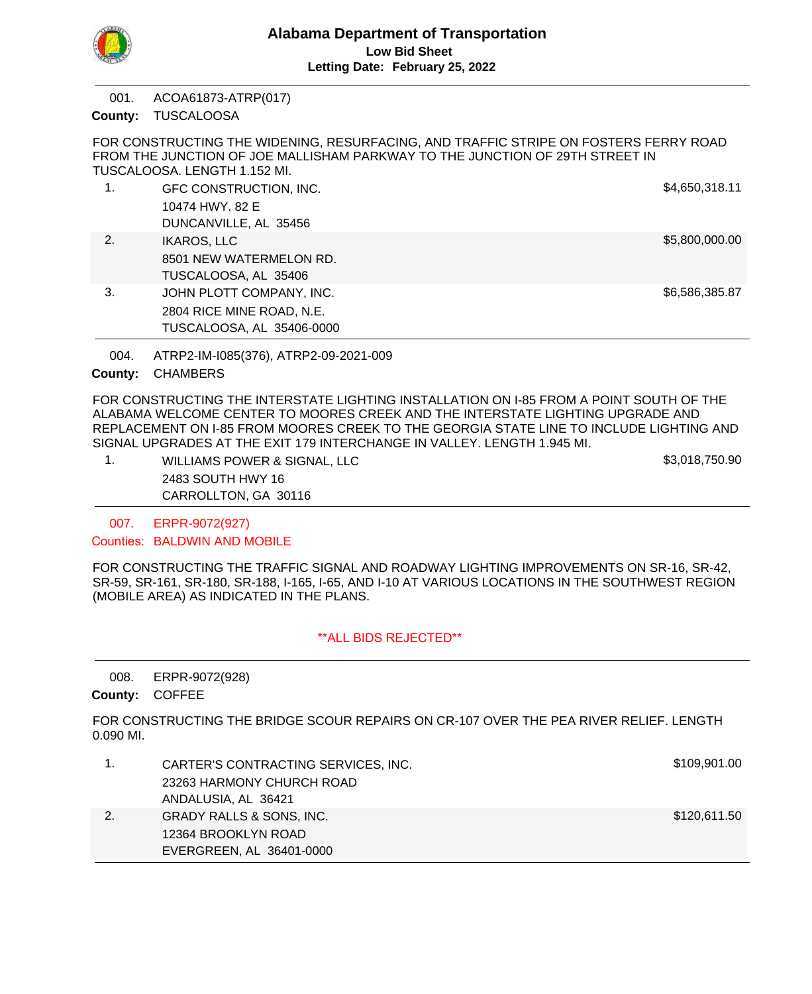

ACOA61873-ATRP(017) 001.

County: TUSCALOOSA

FOR CONSTRUCTING THE WIDENING, RESURFACING, AND TRAFFIC STRIPE ON FOSTERS FERRY ROAD FROM THE JUNCTION OF JOE MALLISHAM PARKWAY TO THE JUNCTION OF 29TH STREET IN TUSCALOOSA. LENGTH 1.152 MI.

|    | GFC CONSTRUCTION, INC.    | \$4,650,318.11 |
|----|---------------------------|----------------|
|    | 10474 HWY, 82 E           |                |
|    | DUNCANVILLE, AL 35456     |                |
| 2. | <b>IKAROS, LLC</b>        | \$5,800,000.00 |
|    | 8501 NEW WATERMELON RD.   |                |
|    | TUSCALOOSA, AL 35406      |                |
| 3. | JOHN PLOTT COMPANY, INC.  | \$6,586,385.87 |
|    | 2804 RICE MINE ROAD, N.E. |                |
|    | TUSCALOOSA, AL 35406-0000 |                |

ATRP2-IM-I085(376), ATRP2-09-2021-009 004.

County: CHAMBERS

FOR CONSTRUCTING THE INTERSTATE LIGHTING INSTALLATION ON I-85 FROM A POINT SOUTH OF THE ALABAMA WELCOME CENTER TO MOORES CREEK AND THE INTERSTATE LIGHTING UPGRADE AND REPLACEMENT ON I-85 FROM MOORES CREEK TO THE GEORGIA STATE LINE TO INCLUDE LIGHTING AND SIGNAL UPGRADES AT THE EXIT 179 INTERCHANGE IN VALLEY. LENGTH 1.945 MI.

1. WILLIAMS POWER & SIGNAL, LLC \$3,018,750.90 2483 SOUTH HWY 16 CARROLLTON, GA 30116

ERPR-9072(927) 007.

Counties: BALDWIN AND MOBILE

FOR CONSTRUCTING THE TRAFFIC SIGNAL AND ROADWAY LIGHTING IMPROVEMENTS ON SR-16, SR-42, SR-59, SR-161, SR-180, SR-188, I-165, I-65, AND I-10 AT VARIOUS LOCATIONS IN THE SOUTHWEST REGION (MOBILE AREA) AS INDICATED IN THE PLANS.

# \*\*ALL BIDS REJECTED\*\*

ERPR-9072(928) 008.

County: COFFEE

FOR CONSTRUCTING THE BRIDGE SCOUR REPAIRS ON CR-107 OVER THE PEA RIVER RELIEF. LENGTH 0.090 MI.

|    | CARTER'S CONTRACTING SERVICES, INC. | \$109,901.00 |
|----|-------------------------------------|--------------|
|    | 23263 HARMONY CHURCH ROAD           |              |
|    | ANDALUSIA, AL 36421                 |              |
| 2. | GRADY RALLS & SONS, INC.            | \$120,611.50 |
|    | 12364 BROOKLYN ROAD                 |              |
|    | EVERGREEN, AL 36401-0000            |              |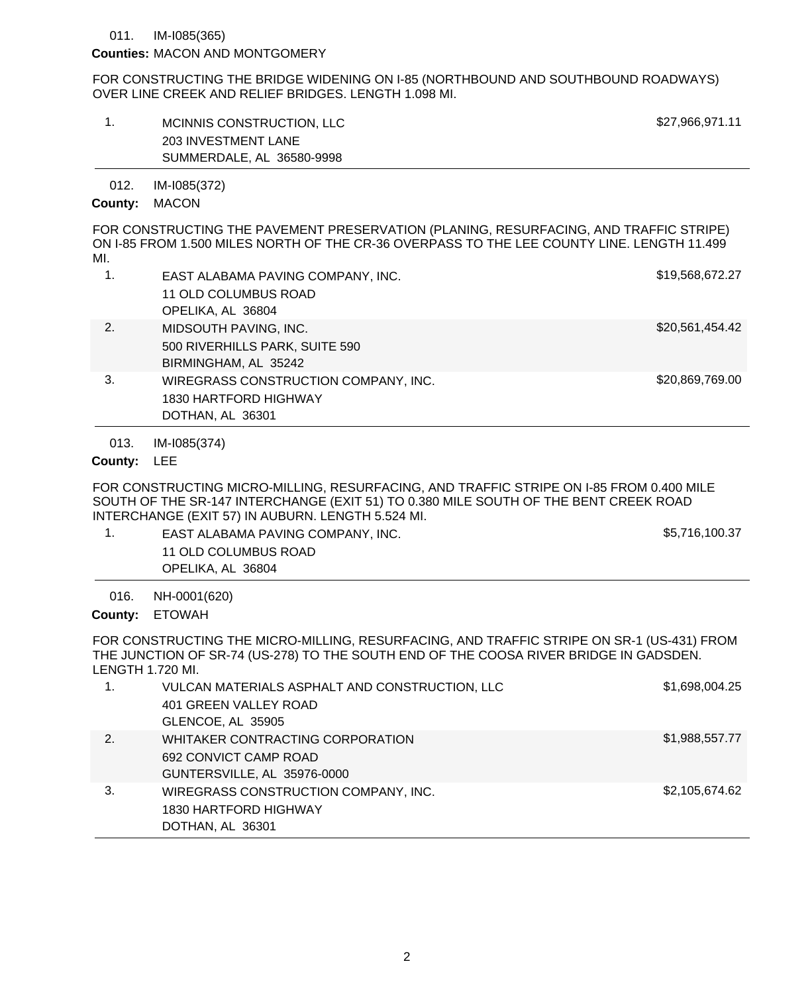#### IM-I085(365) 011.

## **Counties: MACON AND MONTGOMERY**

FOR CONSTRUCTING THE BRIDGE WIDENING ON I-85 (NORTHBOUND AND SOUTHBOUND ROADWAYS) OVER LINE CREEK AND RELIEF BRIDGES. LENGTH 1.098 MI.

| MCINNIS CONSTRUCTION, LLC | \$27,966,971.11 |
|---------------------------|-----------------|
| 203 INVESTMENT LANE       |                 |
| SUMMERDALE, AL 36580-9998 |                 |

IM-I085(372) 012.

### County: MACON

FOR CONSTRUCTING THE PAVEMENT PRESERVATION (PLANING, RESURFACING, AND TRAFFIC STRIPE) ON I-85 FROM 1.500 MILES NORTH OF THE CR-36 OVERPASS TO THE LEE COUNTY LINE. LENGTH 11.499 MI.

| 1.               | EAST ALABAMA PAVING COMPANY, INC.    | \$19,568,672.27 |
|------------------|--------------------------------------|-----------------|
|                  | 11 OLD COLUMBUS ROAD                 |                 |
|                  | OPELIKA, AL 36804                    |                 |
| $\overline{2}$ . | MIDSOUTH PAVING, INC.                | \$20,561,454.42 |
|                  | 500 RIVERHILLS PARK, SUITE 590       |                 |
|                  | BIRMINGHAM, AL 35242                 |                 |
| 3.               | WIREGRASS CONSTRUCTION COMPANY, INC. | \$20,869,769.00 |
|                  | 1830 HARTFORD HIGHWAY                |                 |
|                  | DOTHAN, AL 36301                     |                 |

#### IM-I085(374) 013.

## County: LEE

FOR CONSTRUCTING MICRO-MILLING, RESURFACING, AND TRAFFIC STRIPE ON I-85 FROM 0.400 MILE SOUTH OF THE SR-147 INTERCHANGE (EXIT 51) TO 0.380 MILE SOUTH OF THE BENT CREEK ROAD INTERCHANGE (EXIT 57) IN AUBURN. LENGTH 5.524 MI.

1. EAST ALABAMA PAVING COMPANY, INC. The same state of the state of the state of the state state state state state state state state state state state state state state state state state state state state state state state 11 OLD COLUMBUS ROAD OPELIKA, AL 36804

NH-0001(620) 016.

County: ETOWAH

FOR CONSTRUCTING THE MICRO-MILLING, RESURFACING, AND TRAFFIC STRIPE ON SR-1 (US-431) FROM THE JUNCTION OF SR-74 (US-278) TO THE SOUTH END OF THE COOSA RIVER BRIDGE IN GADSDEN. LENGTH 1.720 MI.

|    | VULCAN MATERIALS ASPHALT AND CONSTRUCTION, LLC<br>401 GREEN VALLEY ROAD<br>GLENCOE, AL 35905 | \$1,698,004.25 |
|----|----------------------------------------------------------------------------------------------|----------------|
| 2. | WHITAKER CONTRACTING CORPORATION<br>692 CONVICT CAMP ROAD<br>GUNTERSVILLE, AL 35976-0000     | \$1,988,557.77 |
| 3. | WIREGRASS CONSTRUCTION COMPANY, INC.<br>1830 HARTFORD HIGHWAY<br>DOTHAN, AL 36301            | \$2,105,674.62 |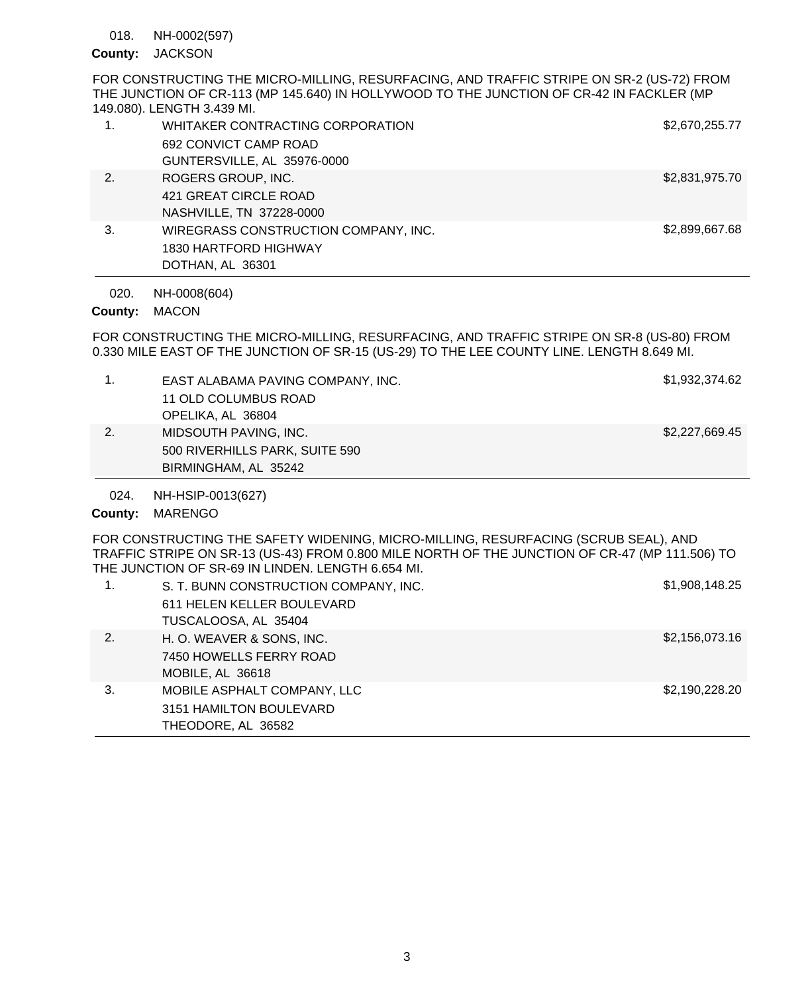#### NH-0002(597) 018.

# County: JACKSON

FOR CONSTRUCTING THE MICRO-MILLING, RESURFACING, AND TRAFFIC STRIPE ON SR-2 (US-72) FROM THE JUNCTION OF CR-113 (MP 145.640) IN HOLLYWOOD TO THE JUNCTION OF CR-42 IN FACKLER (MP 149.080). LENGTH 3.439 MI.

| 1. | WHITAKER CONTRACTING CORPORATION     | \$2,670,255.77 |
|----|--------------------------------------|----------------|
|    | 692 CONVICT CAMP ROAD                |                |
|    | GUNTERSVILLE, AL 35976-0000          |                |
| 2. | ROGERS GROUP, INC.                   | \$2,831,975.70 |
|    | 421 GREAT CIRCLE ROAD                |                |
|    | NASHVILLE, TN 37228-0000             |                |
| 3. | WIREGRASS CONSTRUCTION COMPANY, INC. | \$2,899,667.68 |
|    | 1830 HARTFORD HIGHWAY                |                |
|    | DOTHAN, AL 36301                     |                |

NH-0008(604) 020.

County: MACON

FOR CONSTRUCTING THE MICRO-MILLING, RESURFACING, AND TRAFFIC STRIPE ON SR-8 (US-80) FROM 0.330 MILE EAST OF THE JUNCTION OF SR-15 (US-29) TO THE LEE COUNTY LINE. LENGTH 8.649 MI.

| 024.<br>County: | NH-HSIP-0013(627)<br><b>MARENGO</b>                                             |                |
|-----------------|---------------------------------------------------------------------------------|----------------|
| 2.              | MIDSOUTH PAVING, INC.<br>500 RIVERHILLS PARK, SUITE 590<br>BIRMINGHAM, AL 35242 | \$2,227,669.45 |
|                 | EAST ALABAMA PAVING COMPANY, INC.<br>11 OLD COLUMBUS ROAD<br>OPELIKA, AL 36804  | \$1,932,374.62 |

FOR CONSTRUCTING THE SAFETY WIDENING, MICRO-MILLING, RESURFACING (SCRUB SEAL), AND TRAFFIC STRIPE ON SR-13 (US-43) FROM 0.800 MILE NORTH OF THE JUNCTION OF CR-47 (MP 111.506) TO THE JUNCTION OF SR-69 IN LINDEN. LENGTH 6.654 MI.

|    | S. T. BUNN CONSTRUCTION COMPANY, INC.<br>611 HELEN KELLER BOULEVARD<br>TUSCALOOSA, AL 35404 | \$1,908,148.25 |
|----|---------------------------------------------------------------------------------------------|----------------|
| 2. | H. O. WEAVER & SONS, INC.<br>7450 HOWELLS FERRY ROAD<br>MOBILE, AL 36618                    | \$2,156,073.16 |
| 3. | MOBILE ASPHALT COMPANY, LLC<br>3151 HAMILTON BOULEVARD<br>THEODORE, AL 36582                | \$2,190,228.20 |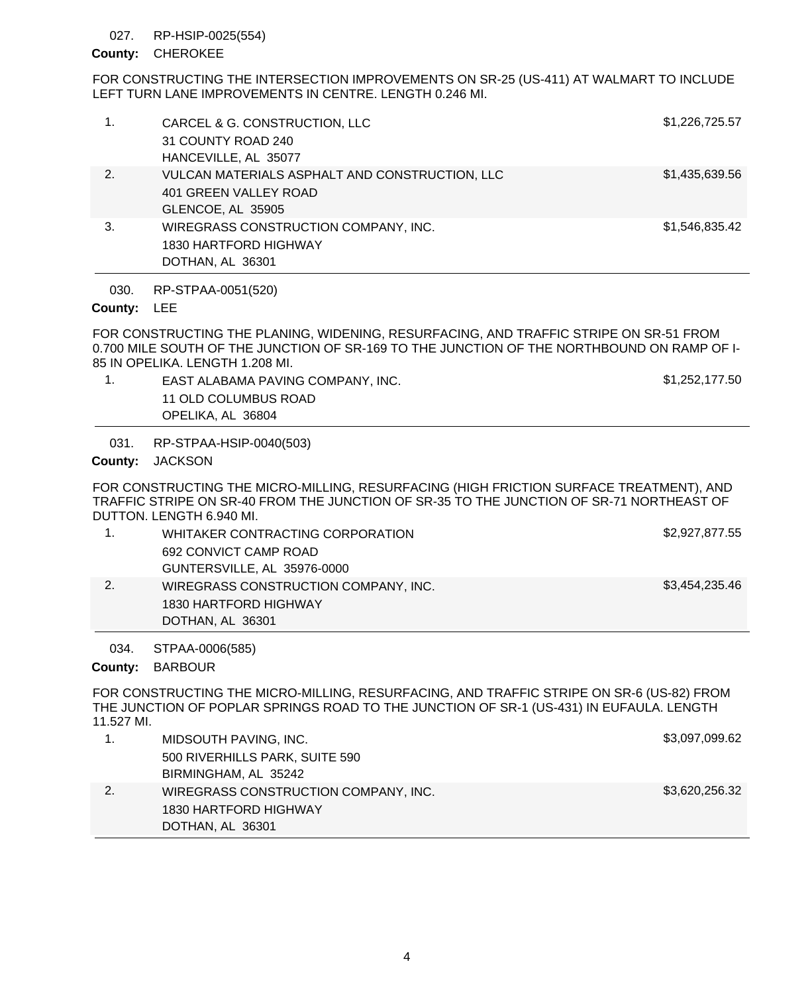### RP-HSIP-0025(554) 027.

## County: CHEROKEE

FOR CONSTRUCTING THE INTERSECTION IMPROVEMENTS ON SR-25 (US-411) AT WALMART TO INCLUDE LEFT TURN LANE IMPROVEMENTS IN CENTRE. LENGTH 0.246 MI.

|    | CARCEL & G. CONSTRUCTION, LLC<br>31 COUNTY ROAD 240<br>HANCEVILLE, AL 35077                  | \$1,226,725.57 |
|----|----------------------------------------------------------------------------------------------|----------------|
| 2. | VULCAN MATERIALS ASPHALT AND CONSTRUCTION, LLC<br>401 GREEN VALLEY ROAD<br>GLENCOE, AL 35905 | \$1,435,639.56 |
| 3. | WIREGRASS CONSTRUCTION COMPANY, INC.<br>1830 HARTFORD HIGHWAY<br>DOTHAN, AL 36301            | \$1,546,835.42 |
|    |                                                                                              |                |

RP-STPAA-0051(520) 030.

### County: LEE

FOR CONSTRUCTING THE PLANING, WIDENING, RESURFACING, AND TRAFFIC STRIPE ON SR-51 FROM 0.700 MILE SOUTH OF THE JUNCTION OF SR-169 TO THE JUNCTION OF THE NORTHBOUND ON RAMP OF I-85 IN OPELIKA. LENGTH 1.208 MI.

1. EAST ALABAMA PAVING COMPANY, INC. The state of the state of the state of the state state state state state state state state state state state state state state state state state state state state state state state stat 11 OLD COLUMBUS ROAD OPELIKA, AL 36804

RP-STPAA-HSIP-0040(503) 031.

County: JACKSON

FOR CONSTRUCTING THE MICRO-MILLING, RESURFACING (HIGH FRICTION SURFACE TREATMENT), AND TRAFFIC STRIPE ON SR-40 FROM THE JUNCTION OF SR-35 TO THE JUNCTION OF SR-71 NORTHEAST OF DUTTON. LENGTH 6.940 MI.

|    | WHITAKER CONTRACTING CORPORATION     | \$2,927,877.55 |
|----|--------------------------------------|----------------|
|    | 692 CONVICT CAMP ROAD                |                |
|    | GUNTERSVILLE, AL 35976-0000          |                |
| 2. | WIREGRASS CONSTRUCTION COMPANY, INC. | \$3,454,235.46 |
|    | 1830 HARTFORD HIGHWAY                |                |
|    | DOTHAN, AL 36301                     |                |

STPAA-0006(585) 034.

County: BARBOUR

FOR CONSTRUCTING THE MICRO-MILLING, RESURFACING, AND TRAFFIC STRIPE ON SR-6 (US-82) FROM THE JUNCTION OF POPLAR SPRINGS ROAD TO THE JUNCTION OF SR-1 (US-431) IN EUFAULA. LENGTH 11.527 MI.

| 1830 HARTFORD HIGHWAY<br>DOTHAN, AL 36301 |                |
|-------------------------------------------|----------------|
| WIREGRASS CONSTRUCTION COMPANY, INC.      | \$3,620,256.32 |
| BIRMINGHAM, AL 35242                      |                |
| 500 RIVERHILLS PARK, SUITE 590            |                |
| MIDSOUTH PAVING, INC.                     | \$3,097,099.62 |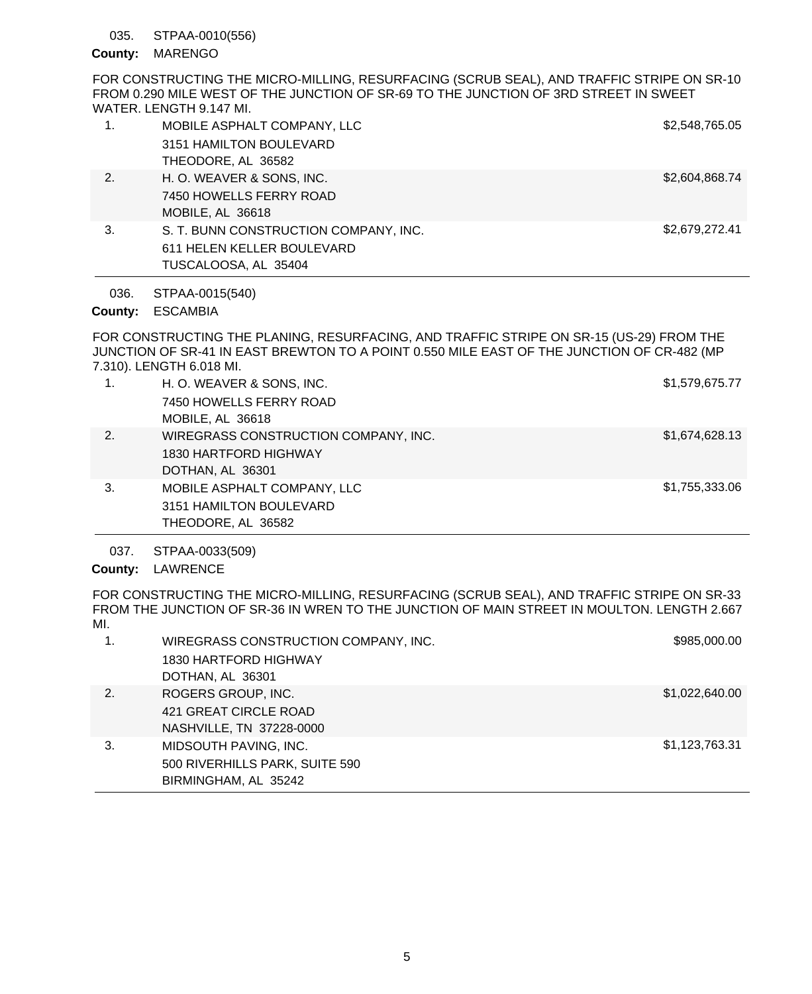### STPAA-0010(556) 035.

## County: MARENGO

FOR CONSTRUCTING THE MICRO-MILLING, RESURFACING (SCRUB SEAL), AND TRAFFIC STRIPE ON SR-10 FROM 0.290 MILE WEST OF THE JUNCTION OF SR-69 TO THE JUNCTION OF 3RD STREET IN SWEET WATER. LENGTH 9.147 MI.

|    | MOBILE ASPHALT COMPANY, LLC           | \$2,548,765.05 |
|----|---------------------------------------|----------------|
|    | 3151 HAMILTON BOULEVARD               |                |
|    | THEODORE, AL 36582                    |                |
| 2. | H. O. WEAVER & SONS, INC.             | \$2,604,868.74 |
|    | 7450 HOWELLS FERRY ROAD               |                |
|    | MOBILE, AL 36618                      |                |
| 3. | S. T. BUNN CONSTRUCTION COMPANY, INC. | \$2,679,272.41 |
|    | 611 HELEN KELLER BOULEVARD            |                |
|    | TUSCALOOSA, AL 35404                  |                |

STPAA-0015(540) 036.

# ESCAMBIA **County:**

FOR CONSTRUCTING THE PLANING, RESURFACING, AND TRAFFIC STRIPE ON SR-15 (US-29) FROM THE JUNCTION OF SR-41 IN EAST BREWTON TO A POINT 0.550 MILE EAST OF THE JUNCTION OF CR-482 (MP 7.310). LENGTH 6.018 MI.

| 1. | H. O. WEAVER & SONS, INC.<br>7450 HOWELLS FERRY ROAD<br>MOBILE, AL 36618          | \$1,579,675.77 |
|----|-----------------------------------------------------------------------------------|----------------|
| 2. | WIREGRASS CONSTRUCTION COMPANY, INC.<br>1830 HARTFORD HIGHWAY<br>DOTHAN, AL 36301 | \$1,674,628.13 |
| 3. | MOBILE ASPHALT COMPANY, LLC<br>3151 HAMILTON BOULEVARD<br>THEODORE, AL 36582      | \$1,755,333.06 |

STPAA-0033(509) 037.

County: LAWRENCE

FOR CONSTRUCTING THE MICRO-MILLING, RESURFACING (SCRUB SEAL), AND TRAFFIC STRIPE ON SR-33 FROM THE JUNCTION OF SR-36 IN WREN TO THE JUNCTION OF MAIN STREET IN MOULTON. LENGTH 2.667 MI.

|    | WIREGRASS CONSTRUCTION COMPANY, INC.<br>1830 HARTFORD HIGHWAY<br>DOTHAN, AL 36301 | \$985,000.00   |
|----|-----------------------------------------------------------------------------------|----------------|
| 2. | ROGERS GROUP, INC.<br>421 GREAT CIRCLE ROAD<br>NASHVILLE, TN 37228-0000           | \$1,022,640.00 |
| 3. | MIDSOUTH PAVING, INC.<br>500 RIVERHILLS PARK, SUITE 590<br>BIRMINGHAM, AL 35242   | \$1,123,763.31 |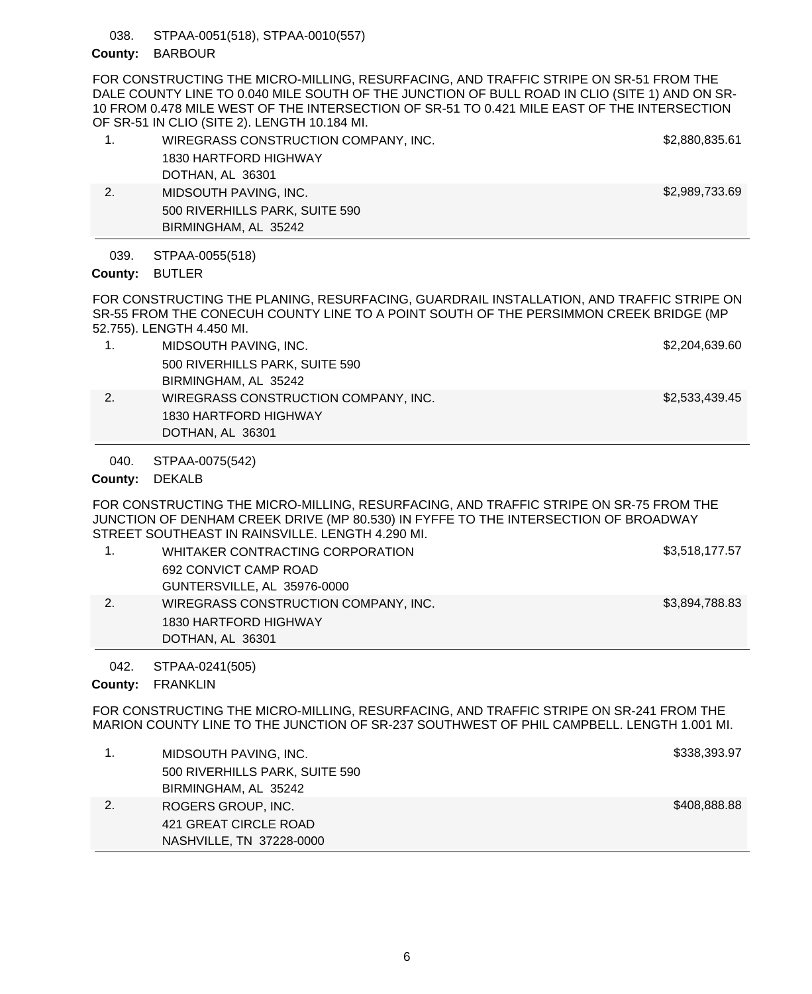STPAA-0051(518), STPAA-0010(557) 038.

BIRMINGHAM, AL 35242

# County: BARBOUR

FOR CONSTRUCTING THE MICRO-MILLING, RESURFACING, AND TRAFFIC STRIPE ON SR-51 FROM THE DALE COUNTY LINE TO 0.040 MILE SOUTH OF THE JUNCTION OF BULL ROAD IN CLIO (SITE 1) AND ON SR-10 FROM 0.478 MILE WEST OF THE INTERSECTION OF SR-51 TO 0.421 MILE EAST OF THE INTERSECTION OF SR-51 IN CLIO (SITE 2). LENGTH 10.184 MI.

| WIREGRASS CONSTRUCTION COMPANY, INC. | \$2,880,835.61 |
|--------------------------------------|----------------|
| 1830 HARTFORD HIGHWAY                |                |
| DOTHAN, AL 36301                     |                |
| MIDSOUTH PAVING, INC.                | \$2,989,733.69 |
| 500 RIVERHILLS PARK, SUITE 590       |                |

STPAA-0055(518) 039.

County: BUTLER

FOR CONSTRUCTING THE PLANING, RESURFACING, GUARDRAIL INSTALLATION, AND TRAFFIC STRIPE ON SR-55 FROM THE CONECUH COUNTY LINE TO A POINT SOUTH OF THE PERSIMMON CREEK BRIDGE (MP 52.755). LENGTH 4.450 MI.

- 1. MIDSOUTH PAVING, INC. **\$2,204,639.60** 500 RIVERHILLS PARK, SUITE 590 BIRMINGHAM, AL 35242 2. WIREGRASS CONSTRUCTION COMPANY, INC. \$2,533,439.45
- 1830 HARTFORD HIGHWAY DOTHAN, AL 36301

STPAA-0075(542) 040.

## County: DEKALB

FOR CONSTRUCTING THE MICRO-MILLING, RESURFACING, AND TRAFFIC STRIPE ON SR-75 FROM THE JUNCTION OF DENHAM CREEK DRIVE (MP 80.530) IN FYFFE TO THE INTERSECTION OF BROADWAY STREET SOUTHEAST IN RAINSVILLE. LENGTH 4.290 MI.

| 1. | WHITAKER CONTRACTING CORPORATION     | \$3,518,177.57 |
|----|--------------------------------------|----------------|
|    | 692 CONVICT CAMP ROAD                |                |
|    | GUNTERSVILLE, AL 35976-0000          |                |
| 2. | WIREGRASS CONSTRUCTION COMPANY, INC. | \$3,894,788.83 |
|    | 1830 HARTFORD HIGHWAY                |                |
|    | DOTHAN, AL 36301                     |                |

STPAA-0241(505) 042.

County: FRANKLIN

FOR CONSTRUCTING THE MICRO-MILLING, RESURFACING, AND TRAFFIC STRIPE ON SR-241 FROM THE MARION COUNTY LINE TO THE JUNCTION OF SR-237 SOUTHWEST OF PHIL CAMPBELL. LENGTH 1.001 MI.

| MIDSOUTH PAVING, INC.          | \$338,393.97 |
|--------------------------------|--------------|
| 500 RIVERHILLS PARK, SUITE 590 |              |
| BIRMINGHAM, AL 35242           |              |
| ROGERS GROUP, INC.             | \$408,888.88 |
| 421 GREAT CIRCLE ROAD          |              |
| NASHVILLE, TN 37228-0000       |              |
|                                |              |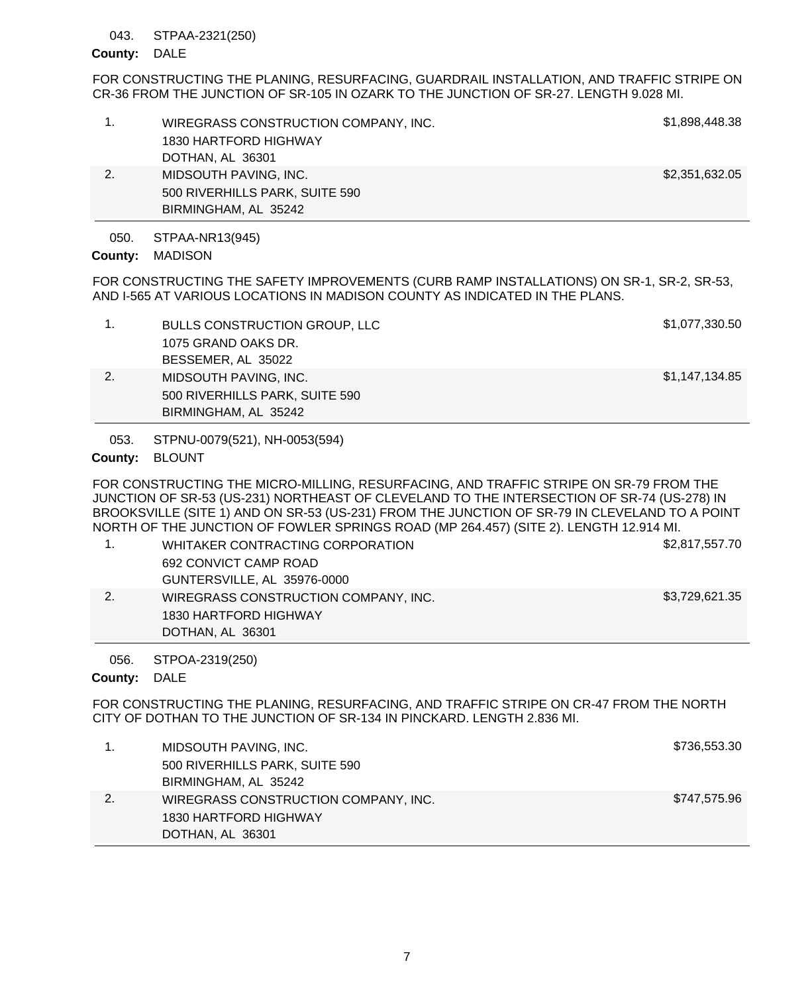### STPAA-2321(250) 043.

## County: DALE

FOR CONSTRUCTING THE PLANING, RESURFACING, GUARDRAIL INSTALLATION, AND TRAFFIC STRIPE ON CR-36 FROM THE JUNCTION OF SR-105 IN OZARK TO THE JUNCTION OF SR-27. LENGTH 9.028 MI.

|    | WIREGRASS CONSTRUCTION COMPANY, INC.<br>1830 HARTFORD HIGHWAY<br>DOTHAN, AL 36301 | \$1,898,448.38 |
|----|-----------------------------------------------------------------------------------|----------------|
| 2. | MIDSOUTH PAVING, INC.<br>500 RIVERHILLS PARK, SUITE 590<br>BIRMINGHAM, AL 35242   | \$2,351,632.05 |

STPAA-NR13(945) 050.

MADISON **County:**

FOR CONSTRUCTING THE SAFETY IMPROVEMENTS (CURB RAMP INSTALLATIONS) ON SR-1, SR-2, SR-53, AND I-565 AT VARIOUS LOCATIONS IN MADISON COUNTY AS INDICATED IN THE PLANS.

| <b>BULLS CONSTRUCTION GROUP, LLC</b> | \$1,077,330.50 |
|--------------------------------------|----------------|
| 1075 GRAND OAKS DR.                  |                |
| BESSEMER, AL 35022                   |                |
| MIDSOUTH PAVING, INC.                | \$1,147,134.85 |
| 500 RIVERHILLS PARK, SUITE 590       |                |
| BIRMINGHAM, AL 35242                 |                |
|                                      |                |

STPNU-0079(521), NH-0053(594) 053.

# County: BLOUNT

FOR CONSTRUCTING THE MICRO-MILLING, RESURFACING, AND TRAFFIC STRIPE ON SR-79 FROM THE JUNCTION OF SR-53 (US-231) NORTHEAST OF CLEVELAND TO THE INTERSECTION OF SR-74 (US-278) IN BROOKSVILLE (SITE 1) AND ON SR-53 (US-231) FROM THE JUNCTION OF SR-79 IN CLEVELAND TO A POINT NORTH OF THE JUNCTION OF FOWLER SPRINGS ROAD (MP 264.457) (SITE 2). LENGTH 12.914 MI.

|    | WHITAKER CONTRACTING CORPORATION     | \$2,817,557.70 |
|----|--------------------------------------|----------------|
|    | 692 CONVICT CAMP ROAD                |                |
|    | GUNTERSVILLE, AL 35976-0000          |                |
| 2. | WIREGRASS CONSTRUCTION COMPANY, INC. | \$3,729,621.35 |
|    | 1830 HARTFORD HIGHWAY                |                |
|    | DOTHAN, AL 36301                     |                |

STPOA-2319(250) 056.

County: DALE

FOR CONSTRUCTING THE PLANING, RESURFACING, AND TRAFFIC STRIPE ON CR-47 FROM THE NORTH CITY OF DOTHAN TO THE JUNCTION OF SR-134 IN PINCKARD. LENGTH 2.836 MI.

|    | MIDSOUTH PAVING, INC.                | \$736,553.30 |
|----|--------------------------------------|--------------|
|    | 500 RIVERHILLS PARK, SUITE 590       |              |
|    | BIRMINGHAM, AL 35242                 |              |
| 2. | WIREGRASS CONSTRUCTION COMPANY, INC. | \$747,575.96 |
|    | 1830 HARTFORD HIGHWAY                |              |
|    | DOTHAN, AL 36301                     |              |